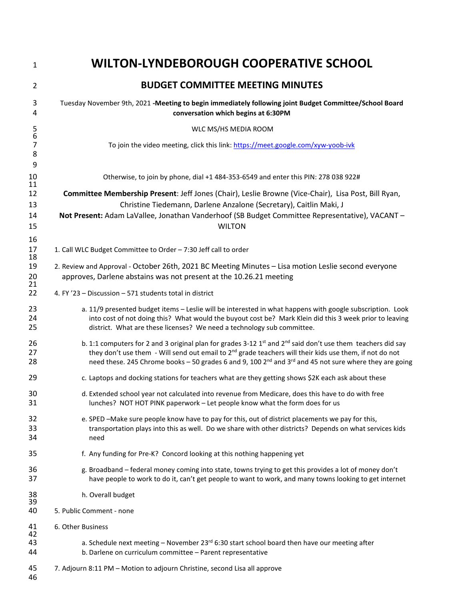| $\mathbf{1}$                          | <b>WILTON-LYNDEBOROUGH COOPERATIVE SCHOOL</b>                                                                                                                                                                                                                                                                                                                            |
|---------------------------------------|--------------------------------------------------------------------------------------------------------------------------------------------------------------------------------------------------------------------------------------------------------------------------------------------------------------------------------------------------------------------------|
| $\overline{2}$                        | <b>BUDGET COMMITTEE MEETING MINUTES</b>                                                                                                                                                                                                                                                                                                                                  |
| 3<br>4                                | Tuesday November 9th, 2021 -Meeting to begin immediately following joint Budget Committee/School Board<br>conversation which begins at 6:30PM                                                                                                                                                                                                                            |
| $\begin{array}{c} 5 \\ 6 \end{array}$ | WLC MS/HS MEDIA ROOM                                                                                                                                                                                                                                                                                                                                                     |
| $\overline{7}$<br>8<br>9              | To join the video meeting, click this link: https://meet.google.com/xyw-yoob-ivk                                                                                                                                                                                                                                                                                         |
| 10<br>11                              | Otherwise, to join by phone, dial +1 484-353-6549 and enter this PIN: 278 038 922#                                                                                                                                                                                                                                                                                       |
| 12                                    | Committee Membership Present: Jeff Jones (Chair), Leslie Browne (Vice-Chair), Lisa Post, Bill Ryan,                                                                                                                                                                                                                                                                      |
| 13                                    | Christine Tiedemann, Darlene Anzalone (Secretary), Caitlin Maki, J                                                                                                                                                                                                                                                                                                       |
| 14<br>15                              | Not Present: Adam LaVallee, Jonathan Vanderhoof (SB Budget Committee Representative), VACANT-<br><b>WILTON</b>                                                                                                                                                                                                                                                           |
| 16<br>17<br>18                        | 1. Call WLC Budget Committee to Order - 7:30 Jeff call to order                                                                                                                                                                                                                                                                                                          |
| 19<br>20<br>21                        | 2. Review and Approval - October 26th, 2021 BC Meeting Minutes - Lisa motion Leslie second everyone<br>approves, Darlene abstains was not present at the 10.26.21 meeting                                                                                                                                                                                                |
| 22                                    | 4. FY '23 - Discussion - 571 students total in district                                                                                                                                                                                                                                                                                                                  |
| 23<br>24<br>25                        | a. 11/9 presented budget items - Leslie will be interested in what happens with google subscription. Look<br>into cost of not doing this? What would the buyout cost be? Mark Klein did this 3 week prior to leaving<br>district. What are these licenses? We need a technology sub committee.                                                                           |
| 26<br>27<br>28                        | b. 1:1 computers for 2 and 3 original plan for grades 3-12 $1st$ and $2nd$ said don't use them teachers did say<br>they don't use them - Will send out email to 2 <sup>nd</sup> grade teachers will their kids use them, if not do not<br>need these. 245 Chrome books - 50 grades 6 and 9, 100 2 <sup>nd</sup> and 3 <sup>rd</sup> and 45 not sure where they are going |
| 29                                    | c. Laptops and docking stations for teachers what are they getting shows \$2K each ask about these                                                                                                                                                                                                                                                                       |
| 30<br>31                              | d. Extended school year not calculated into revenue from Medicare, does this have to do with free<br>lunches? NOT HOT PINK paperwork - Let people know what the form does for us                                                                                                                                                                                         |
| 32<br>33<br>34                        | e. SPED -Make sure people know have to pay for this, out of district placements we pay for this,<br>transportation plays into this as well. Do we share with other districts? Depends on what services kids<br>need                                                                                                                                                      |
| 35                                    | f. Any funding for Pre-K? Concord looking at this nothing happening yet                                                                                                                                                                                                                                                                                                  |
| 36<br>37                              | g. Broadband - federal money coming into state, towns trying to get this provides a lot of money don't<br>have people to work to do it, can't get people to want to work, and many towns looking to get internet                                                                                                                                                         |
| 38<br>39<br>40                        | h. Overall budget                                                                                                                                                                                                                                                                                                                                                        |
|                                       | 5. Public Comment - none                                                                                                                                                                                                                                                                                                                                                 |
| 41<br>42                              | 6. Other Business                                                                                                                                                                                                                                                                                                                                                        |
| 43<br>44                              | a. Schedule next meeting - November 23rd 6:30 start school board then have our meeting after<br>b. Darlene on curriculum committee - Parent representative                                                                                                                                                                                                               |
| 45<br>46                              | 7. Adjourn 8:11 PM - Motion to adjourn Christine, second Lisa all approve                                                                                                                                                                                                                                                                                                |